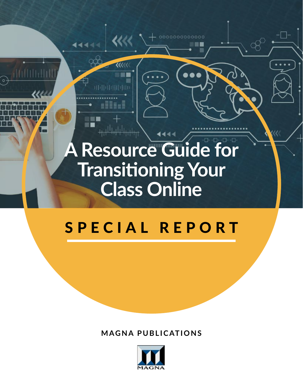# **A Resource Guide for Transitioning Your Class Online**

44444

UU

0000000000000

 $\bullet \bullet \bullet$ 

# SPECIAL REPORT

**MAGNA PUBLICATIONS**

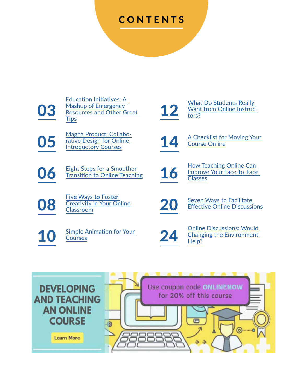# CONTENTS

[03](#page-2-0)

[Education Initiatives: A](#page-2-0)  [Mashup of Emergency](#page-2-0)  Resources and Other Great [Tips](#page-2-0)

[Magna Product: Collabo](#page-4-0)-<br>
The Design for Online<br>
Introductory Courses [rative Design for Online](#page-4-0) 

**[08](#page-7-0)** Five Ways to Foster<br>Cleativity in Your Or<br>Classroom [Creativity in Your Online](#page-7-0)  The vial of Oster<br>Creativity in Your Online<br>[Classroom](#page-7-0) Classroom

[10](#page-9-0) Simple Animation for Your



[12](#page-11-0) What Do Students Really<br>Want from Online Instructors? [Want from Online Instruc](#page-11-0)[tors?](#page-11-0)

[14](#page-13-0) A Checklist for Moving Your [Course Online](#page-13-0)

O6 Eight Steps for a Smoother<br> [Transition to Online Teaching](#page-5-0) [16](#page-15-0) How Teaching Online Can<br>
Classes [Improve Your Face-to-Face](#page-15-0)  [Classes](#page-15-0)

Simple Animation for Your<br>[Courses](#page-9-0) **[24](#page-23-0)** Changing the Environment<br>Help? [Changing the Environment](#page-23-0)  [Help?](#page-23-0)

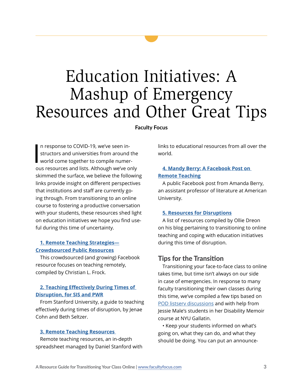# <span id="page-2-0"></span>Education Initiatives: A Mashup of Emergency Resources and Other Great Tips

**Faculty Focus** 

I n response to COVID-19, we've seen instructors and universities from around the world come together to compile numerous resources and lists. Although we've only skimmed the surface, we believe the following links provide insight on different perspectives that institutions and staff are currently going through. From transitioning to an online course to fostering a productive conversation with your students, these resources shed light on education initiatives we hope you find useful during this time of uncertainty.

### **1. [Remote Teaching Strategies—](https://www.facebook.com/notes/christian-l-frock/remote-teaching-strategies-crowdsourced-public-resources/3091899917487408/) [Crowdsourced Public Resources](https://www.facebook.com/notes/christian-l-frock/remote-teaching-strategies-crowdsourced-public-resources/3091899917487408/)**

This crowdsourced (and growing) Facebook resource focuses on teaching remotely, compiled by Christian L. Frock.

## **2. [Teaching Effectively During Times of](https://docs.google.com/document/d/1ccsudB2vwZ_GJYoKlFzGbtnmftGcXwCIwxzf-jkkoCU/preview?fbclid=IwAR3OqugFFX7vRgBqWq735O4WkqMtU-jJVgwvfE5-XLEKuseFMZGf1rcLasc)  [Disruption, for SIS and PWR](https://docs.google.com/document/d/1ccsudB2vwZ_GJYoKlFzGbtnmftGcXwCIwxzf-jkkoCU/preview?fbclid=IwAR3OqugFFX7vRgBqWq735O4WkqMtU-jJVgwvfE5-XLEKuseFMZGf1rcLasc)**

From Stanford University, a guide to teaching effectively during times of disruption, by Jenae Cohn and Beth Seltzer.

#### **3. [Remote Teaching Resources](https://docs.google.com/spreadsheets/d/1VT9oiNYPyiEsGHBoDKlwLlWAsWP58sGV7A3oIuEUG3k/htmlview?sle=true#gid=1552188977)**

Remote teaching resources, an in-depth spreadsheet managed by Daniel Stanford with links to educational resources from all over the world.

### **4. [Mandy Berry: A Facebook Post on](https://www.facebook.com/snowyalamo/posts/10218715926024027)  [Remote Teaching](https://www.facebook.com/snowyalamo/posts/10218715926024027)**

A public Facebook post from Amanda Berry, an assistant professor of literature at American University.

#### **5. [Resources for Disruptions](https://the8blog.wordpress.com/2020/03/12/resources-for-disruptions/)**

A list of resources compiled by Ollie Dreon on his blog pertaining to transitioning to online teaching and coping with education initiatives during this time of disruption.

### Tips for the Transition

Transitioning your face-to-face class to online takes time, but time isn't always on our side in case of emergencies. In response to many faculty transitioning their own classes during this time, we've compiled a few tips based on [POD listserv discussions](https://podnetwork.org/resources/open-discussion-group/) and with help from Jessie Male's students in her Disability Memoir course at NYU Gallatin.

• Keep your students informed on what's going on, what they can do, and what they should be doing. You can put an announce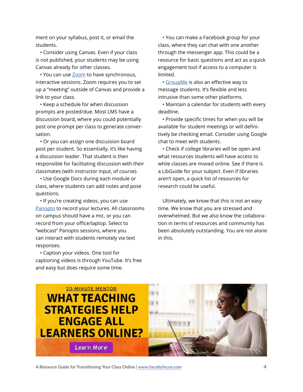ment on your syllabus, post it, or email the students.

• Consider using Canvas. Even if your class is not published, your students may be using Canvas already for other classes.

• You can use [Zoom](https://zoom.us/home?zcid=2478) to have synchronous, interactive sessions. Zoom requires you to set up a "meeting" outside of Canvas and provide a link to your class.

• Keep a schedule for when discussion prompts are posted/due. Most LMS have a discussion board, where you could potentially post one prompt per class to generate conversation.

• Or you can assign one discussion board post per student. So essentially, it's like having a discussion leader. That student is then responsible for facilitating discussion with their classmates (with instructor input, of course).

• Use Google Docs during each module or class, where students can add notes and pose questions.

• If you're creating videos, you can use [Panopto](https://www.panopto.com) to record your lectures. All classrooms on campus should have a mic, or you can record from your office/laptop. Select to "webcast" Panopto sessions, where you can interact with students remotely via text responses.

• Caption your videos. One tool for captioning videos is through YouTube. It's free and easy but does require some time.

• You can make a Facebook group for your class, where they can chat with one another through the messenger app. This could be a resource for basic questions and act as a quick engagement tool if access to a computer is limited.

• [GroupMe](https://groupme.com/en-US/) is also an effective way to message students. It's flexible and less intrusive than some other platforms.

• Maintain a calendar for students with every deadline.

• Provide specific times for when you will be available for student meetings or will definitively be checking email. Consider using Google chat to meet with students.

• Check if college libraries will be open and what resources students will have access to while classes are moved online. See if there is a LibGuide for your subject. Even if libraries aren't open, a quick list of resources for research could be useful.

Ultimately, we know that this is not an easy time. We know that you are stressed and overwhelmed. But we also know the collaboration in terms of resources and community has been absolutely outstanding. You are not alone in this.



**A Resource Guide for Transitioning Your Class Online | [www.facultyfocus.com](http://www.facultyfocus.com) 4**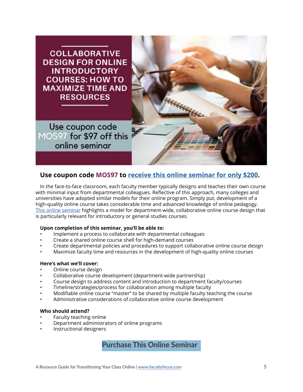# <span id="page-4-0"></span>**COLLABORATIVE DESIGN FOR ONLINE INTRODUCTORY COURSES: HOW TO MAXIMIZE TIME AND RESOURCES**

Use coupon code MOS97 for \$97 off this online seminar



# **Use coupon code MOS97 to [receive this online seminar for only \\$200](https://www.magnapubs.com/online-seminars/collaborative-design-for-online-introductory-courses-15224-1.html?st=FFfreereport).**

In the face-to-face classroom, each faculty member typically designs and teaches their own course with minimal input from departmental colleagues. Reflective of this approach, many colleges and universities have adopted similar models for their online program. Simply put, development of a high-quality online course takes considerable time and advanced knowledge of online pedagogy. [This online seminar](https://www.magnapubs.com/online-seminars/collaborative-design-for-online-introductory-courses-15224-1.html?st=FFfreereport) highlights a model for department-wide, collaborative online course design that is particularly relevant for introductory or general studies courses.

### **Upon completion of this seminar, you'll be able to:**

- Implement a process to collaborate with departmental colleagues
- Create a shared online course shell for high-demand courses
- Create departmental policies and procedures to support collaborative online course design
- Maximize faculty time and resources in the development of high-quality online courses

#### **Here's what we'll cover:**

- Online course design
- Collaborative course development (department-wide partnership)
- Course design to address content and introduction to department faculty/courses
- Timeline/strategies/process for collaboration among multiple faculty
- Modifiable online course "master" to be shared by multiple faculty teaching the course
- Administrative considerations of collaborative online course development

#### **Who should attend?**

- Faculty teaching online
- Department administrators of online programs
- Instructional designers

[Purchase This Online Seminar](https://www.magnapubs.com/online-seminars/collaborative-design-for-online-introductory-courses-15224-1.html?st=FFfreereport)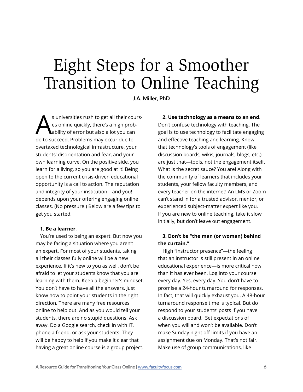# <span id="page-5-0"></span>Eight Steps for a Smoother Transition to Online Teaching

**J.A. Miller, PhD**

S universities rush to get all their cours-<br>es online quickly, there's a high prob-<br>ability of error but also a lot you can es online quickly, there's a high probability of error but also a lot you can do to succeed. Problems may occur due to overtaxed technological infrastructure, your students' disorientation and fear, and your own learning curve. On the positive side, you learn for a living, so you are good at it! Being open to the current crisis-driven educational opportunity is a call to action. The reputation and integrity of your institution—and you! depends upon your offering engaging online classes. (No pressure.) Below are a few tips to get you started.

#### **1. Be a learner**.

You're used to being an expert. But now you may be facing a situation where you aren't an expert. For most of your students, taking all their classes fully online will be a new experience. If it's new to you as well, don't be afraid to let your students know that you are learning with them. Keep a beginner's mindset. You don't have to have all the answers. Just know how to point your students in the right direction. There are many free resources online to help out. And as you would tell your students, there are no stupid questions. Ask away. Do a Google search, check in with IT, phone a friend, or ask your students. They will be happy to help if you make it clear that having a great online course is a group project.

**2. Use technology as a means to an end**. Don't confuse technology with teaching. The goal is to use technology to facilitate engaging and effective teaching and learning. Know that technology's tools of engagement (like discussion boards, wikis, journals, blogs, etc.) are just that—tools, not the engagement itself. What is the secret sauce? You are! Along with the community of learners that includes your students, your fellow faculty members, and every teacher on the internet! An LMS or Zoom can't stand in for a trusted advisor, mentor, or experienced subject-matter expert like you. If you are new to online teaching, take it slow initially, but don't leave out engagement.

### **3. Don't be "the man (or woman) behind the curtain."**

High "instructor presence"—the feeling that an instructor is still present in an online educational experience—is more critical now than it has ever been. Log into your course every day. Yes, every day. You don't have to promise a 24-hour turnaround for responses. In fact, that will quickly exhaust you. A 48-hour turnaround response time is typical. But do respond to your students' posts if you have a discussion board. Set expectations of when you will and won't be available. Don't make Sunday night off-limits if you have an assignment due on Monday. That's not fair. Make use of group communications, like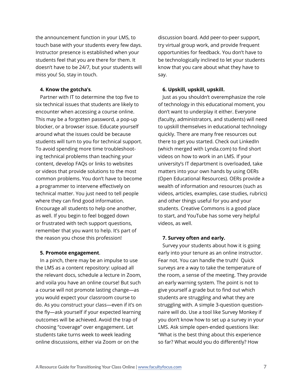the announcement function in your LMS, to touch base with your students every few days. Instructor presence is established when your students feel that you are there for them. It doesn't have to be 24/7, but your students will miss you! So, stay in touch.

#### **4. Know the gotcha's**.

Partner with IT to determine the top five to six technical issues that students are likely to encounter when accessing a course online. This may be a forgotten password, a pop-up blocker, or a browser issue. Educate yourself around what the issues could be because students will turn to you for technical support. To avoid spending more time troubleshooting technical problems than teaching your content, develop FAQs or links to websites or videos that provide solutions to the most common problems. You don't have to become a programmer to intervene effectively on technical matter. You just need to tell people where they can find good information. Encourage all students to help one another, as well. If you begin to feel bogged down or frustrated with tech support questions, remember that you want to help. It's part of the reason you chose this profession!

#### **5. Promote engagement**.

In a pinch, there may be an impulse to use the LMS as a content repository: upload all the relevant docs, schedule a lecture in Zoom, and voila you have an online course! But such a course will not promote lasting change—as you would expect your classroom course to do. As you construct your class—even if it's on the fly—ask yourself if your expected learning outcomes will be achieved. Avoid the trap of choosing "coverage" over engagement. Let students take turns week to week leading online discussions, either via Zoom or on the

discussion board. Add peer-to-peer support, try virtual group work, and provide frequent opportunities for feedback. You don't have to be technologically inclined to let your students know that you care about what they have to say.

#### **6. Upskill, upskill, upskill.**

Just as you shouldn't overemphasize the role of technology in this educational moment, you don't want to underplay it either. Everyone (faculty, administrators, and students) will need to upskill themselves in educational technology quickly. There are many free resources out there to get you started. Check out LinkedIn (which merged with Lynda.com) to find short videos on how to work in an LMS. If your university's IT department is overloaded, take matters into your own hands by using OERs (Open Educational Resources). OERs provide a wealth of information and resources (such as videos, articles, examples, case studies, rubrics) and other things useful for you and your students. Creative Commons is a good place to start, and YouTube has some very helpful videos, as well.

#### **7. Survey often and early.**

Survey your students about how it is going early into your tenure as an online instructor. Fear not. You can handle the truth! Quick surveys are a way to take the temperature of the room, a sense of the meeting. They provide an early warning system. The point is not to give yourself a grade but to find out which students are struggling and what they are struggling with. A simple 3-question questionnaire will do. Use a tool like Survey Monkey if you don't know how to set up a survey in your LMS. Ask simple open-ended questions like: "What is the best thing about this experience so far? What would you do differently? How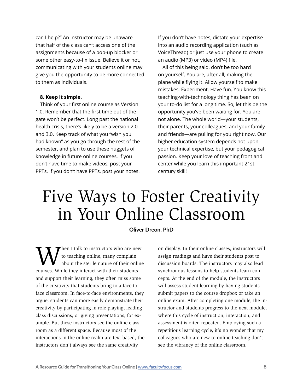<span id="page-7-0"></span>can I help?" An instructor may be unaware that half of the class can't access one of the assignments because of a pop-up blocker or some other easy-to-fix issue. Believe it or not, communicating with your students online may give you the opportunity to be more connected to them as individuals.

#### **8. Keep it simple.**

Think of your first online course as Version 1.0. Remember that the first time out of the gate won't be perfect. Long past the national health crisis, there's likely to be a version 2.0 and 3.0. Keep track of what you "wish you had known" as you go through the rest of the semester, and plan to use these nuggets of knowledge in future online courses. If you don't have time to make videos, post your PPTs. If you don't have PPTs, post your notes.

If you don't have notes, dictate your expertise into an audio recording application (such as VoiceThread) or just use your phone to create an audio (MP3) or video (MP4) file.

All of this being said, don't be too hard on yourself. You are, after all, making the plane while flying it! Allow yourself to make mistakes. Experiment. Have fun. You know this teaching-with-technology thing has been on your to-do list for a long time. So, let this be the opportunity you've been waiting for. You are not alone. The whole world—your students, their parents, your colleagues, and your family and friends—are pulling for you right now. Our higher education system depends not upon your technical expertise, but your pedagogical passion. Keep your love of teaching front and center while you learn this important 21st century skill!

# Five Ways to Foster Creativity in Your Online Classroom

#### **Oliver Dreon, PhD**

hen I talk to instructors who are new to teaching online, many complain about the sterile nature of their online courses. While they interact with their students and support their learning, they often miss some of the creativity that students bring to a face-toface classroom. In face-to-face environments, they argue, students can more easily demonstrate their creativity by participating in role-playing, leading class discussions, or giving presentations, for example. But these instructors see the online classroom as a different space. Because most of the interactions in the online realm are text-based, the instructors don't always see the same creativity

on display. In their online classes, instructors will assign readings and have their students post to discussion boards. The instructors may also lead synchronous lessons to help students learn concepts. At the end of the module, the instructors will assess student learning by having students submit papers to the course dropbox or take an online exam. After completing one module, the instructor and students progress to the next module, where this cycle of instruction, interaction, and assessment is often repeated. Employing such a repetitious learning cycle, it's no wonder that my colleagues who are new to online teaching don't see the vibrancy of the online classroom.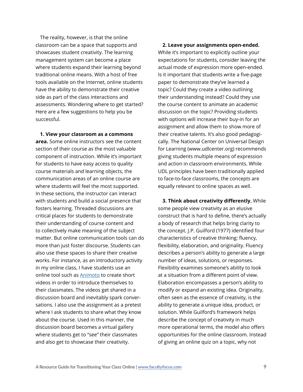The reality, however, is that the online classroom can be a space that supports and showcases student creativity. The learning management system can become a place where students expand their learning beyond traditional online means. With a host of free tools available on the Internet, online students have the ability to demonstrate their creative side as part of the class interactions and assessments. Wondering where to get started? Here are a few suggestions to help you be successful.

**1. View your classroom as a commons area.** Some online instructors see the content section of their course as the most valuable component of instruction. While it's important for students to have easy access to quality course materials and learning objects, the communication areas of an online course are where students will feel the most supported. In these sections, the instructor can interact with students and build a social presence that fosters learning. Threaded discussions are critical places for students to demonstrate their understanding of course content and to collectively make meaning of the subject matter. But online communication tools can do more than just foster discourse. Students can also use these spaces to share their creative works. For instance, as an introductory activity in my online class, I have students use an online tool such as [Animoto](https://animoto.com) to create short videos in order to introduce themselves to their classmates. The videos get shared in a discussion board and inevitably spark conversations. I also use the assignment as a pretest where I ask students to share what they know about the course. Used in this manner, the discussion board becomes a virtual gallery where students get to "see" their classmates and also get to showcase their creativity.

**2. Leave your assignments open-ended.**  While it's important to explicitly outline your expectations for students, consider leaving the actual mode of expression more open-ended. Is it important that students write a five-page paper to demonstrate they've learned a topic? Could they create a video outlining their understanding instead? Could they use the course content to animate an academic discussion on the topic? Providing students with options will increase their buy-in for an assignment and allow them to show more of their creative talents. It's also good pedagogically. The National Center on Universal Design for Learning (www.udlcenter.org) recommends giving students multiple means of expression and action in classroom environments. While UDL principles have been traditionally applied to face-to-face classrooms, the concepts are equally relevant to online spaces as well.

**3. Think about creativity differently.** While some people view creativity as an elusive construct that is hard to define, there's actually a body of research that helps bring clarity to the concept. J.P. Guilford (1977) identified four characteristics of creative thinking: fluency, flexibility, elaboration, and originality. Fluency describes a person's ability to generate a large number of ideas, solutions, or responses. Flexibility examines someone's ability to look at a situation from a different point of view. Elaboration encompasses a person's ability to modify or expand an existing idea. Originality, often seen as the essence of creativity, is the ability to generate a unique idea, product, or solution. While Guilford's framework helps describe the concept of creativity in much more operational terms, the model also offers opportunities for the online classroom. Instead of giving an online quiz on a topic, why not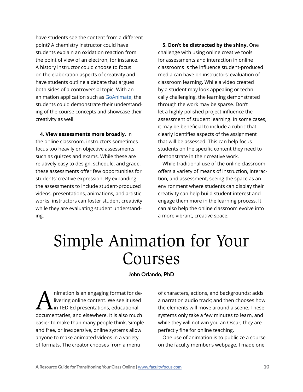<span id="page-9-0"></span>have students see the content from a different point? A chemistry instructor could have students explain an oxidation reaction from the point of view of an electron, for instance. A history instructor could choose to focus on the elaboration aspects of creativity and have students outline a debate that argues both sides of a controversial topic. With an animation application such as [GoAnimate,](https://www.vyond.com) the students could demonstrate their understanding of the course concepts and showcase their creativity as well.

**4. View assessments more broadly.** In the online classroom, instructors sometimes focus too heavily on objective assessments such as quizzes and exams. While these are relatively easy to design, schedule, and grade, these assessments offer few opportunities for students' creative expression. By expanding the assessments to include student-produced videos, presentations, animations, and artistic works, instructors can foster student creativity while they are evaluating student understanding.

**5. Don't be distracted by the shiny.** One challenge with using online creative tools for assessments and interaction in online classrooms is the influence student-produced media can have on instructors' evaluation of classroom learning. While a video created by a student may look appealing or technically challenging, the learning demonstrated through the work may be sparse. Don't let a highly polished project influence the assessment of student learning. In some cases, it may be beneficial to include a rubric that clearly identifies aspects of the assignment that will be assessed. This can help focus students on the specific content they need to demonstrate in their creative work.

While traditional use of the online classroom offers a variety of means of instruction, interaction, and assessment, seeing the space as an environment where students can display their creativity can help build student interest and engage them more in the learning process. It can also help the online classroom evolve into a more vibrant, creative space.

# Simple Animation for Your Courses

**John Orlando, PhD**

nimation is an engaging format for delivering online content. We see it used in TED-Ed presentations, educational documentaries, and elsewhere. It is also much easier to make than many people think. Simple and free, or inexpensive, online systems allow anyone to make animated videos in a variety of formats. The creator chooses from a menu

of characters, actions, and backgrounds; adds a narration audio track; and then chooses how the elements will move around a scene. These systems only take a few minutes to learn, and while they will not win you an Oscar, they are perfectly fine for online teaching.

One use of animation is to publicize a course on the faculty member's webpage. I made one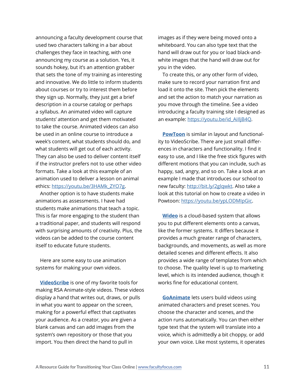announcing a faculty development course that used two characters talking in a bar about challenges they face in teaching, with one announcing my course as a solution. Yes, it sounds hokey, but it's an attention grabber that sets the tone of my training as interesting and innovative. We do little to inform students about courses or try to interest them before they sign up. Normally, they just get a brief description in a course catalog or perhaps a syllabus. An animated video will capture students' attention and get them motivated to take the course. Animated videos can also be used in an online course to introduce a week's content, what students should do, and what students will get out of each activity. They can also be used to deliver content itself if the instructor prefers not to use other video formats. Take a look at this example of an animation used to deliver a lesson on animal ethics: [https://youtu.be/3HAMk\\_ZYO7g](https://youtu.be/3HAMk_ZYO7g).

Another option is to have students make animations as assessments. I have had students make animations that teach a topic. This is far more engaging to the student than a traditional paper, and students will respond with surprising amounts of creativity. Plus, the videos can be added to the course content itself to educate future students.

Here are some easy to use animation systems for making your own videos.

**[VideoScribe](https://www.videoscribe.co/en/)** is one of my favorite tools for making RSA Animate-style videos. These videos display a hand that writes out, draws, or pulls in what you want to appear on the screen, making for a powerful effect that captivates your audience. As a creator, you are given a blank canvas and can add images from the system's own repository or those that you import. You then direct the hand to pull in

images as if they were being moved onto a whiteboard. You can also type text that the hand will draw out for you or load black-andwhite images that the hand will draw out for you in the video.

To create this, or any other form of video, make sure to record your narration first and load it onto the site. Then pick the elements and set the action to match your narration as you move through the timeline. See a video introducing a faculty training site I designed as an example: [https://youtu.be/id\\_AiIljB4Q](https://youtu.be/id_AiIljB4Q).

**[PowToon](https://www.powtoon.com/home/?)** is similar in layout and functionality to VideoScribe. There are just small differences in characters and functionality. I find it easy to use, and I like the free stick figures with different motions that you can include, such as happy, sad, angry, and so on. Take a look at an example I made that introduces our school to new faculty: <http://bit.ly/2glqwkt>. Also take a look at this tutorial on how to create a video in Powtoon:<https://youtu.be/ypLODMIpGic>.

**[Wideo](https://wideo.co/marketing/)** is a cloud-based system that allows you to put different elements onto a canvas, like the former systems. It differs because it provides a much greater range of characters, backgrounds, and movements, as well as more detailed scenes and different effects. It also provides a wide range of templates from which to choose. The quality level is up to marketing level, which is its intended audience, though it works fine for educational content.

**[GoAnimate](https://www.vyond.com)** lets users build videos using animated characters and preset scenes. You choose the character and scenes, and the action runs automatically. You can then either type text that the system will translate into a voice, which is admittedly a bit choppy, or add your own voice. Like most systems, it operates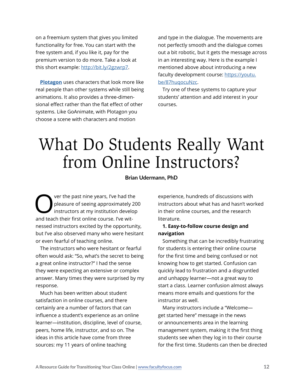<span id="page-11-0"></span>on a freemium system that gives you limited functionality for free. You can start with the free system and, if you like it, pay for the premium version to do more. Take a look at this short example: <http://bit.ly/2gzwrp7>.

**[Plotagon](https://www.plotagon.com)** uses characters that look more like real people than other systems while still being animations. It also provides a three-dimensional effect rather than the flat effect of other systems. Like GoAnimate, with Plotagon you choose a scene with characters and motion

and type in the dialogue. The movements are not perfectly smooth and the dialogue comes out a bit robotic, but it gets the message across in an interesting way. Here is the example I mentioned above about introducing a new faculty development course: [https://youtu.](https://youtu.be/87huqocuNzc) [be/87huqocuNzc.](https://youtu.be/87huqocuNzc)

Try one of these systems to capture your students' attention and add interest in your courses.

# What Do Students Really Want from Online Instructors?

### **Brian Udermann, PhD**

ver the past nine years, I've had the pleasure of seeing approximately 200 instructors at my institution develop and teach their first online course. I've witnessed instructors excited by the opportunity, but I've also observed many who were hesitant or even fearful of teaching online.

The instructors who were hesitant or fearful often would ask: "So, what's the secret to being a great online instructor?" I had the sense they were expecting an extensive or complex answer. Many times they were surprised by my response.

Much has been written about student satisfaction in online courses, and there certainly are a number of factors that can influence a student's experience as an online learner—institution, discipline, level of course, peers, home life, instructor, and so on. The ideas in this article have come from three sources: my 11 years of online teaching

experience, hundreds of discussions with instructors about what has and hasn't worked in their online courses, and the research literature.

### **1. Easy-to-follow course design and navigation**

Something that can be incredibly frustrating for students is entering their online course for the first time and being confused or not knowing how to get started. Confusion can quickly lead to frustration and a disgruntled and unhappy learner—not a great way to start a class. Learner confusion almost always means more emails and questions for the instructor as well.

Many instructors include a "Welcome get started here" message in the news or announcements area in the learning management system, making it the first thing students see when they log in to their course for the first time. Students can then be directed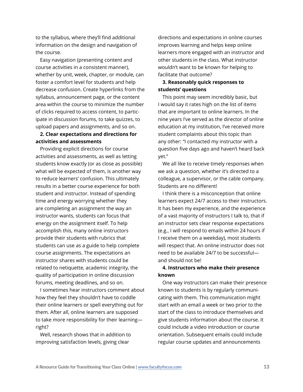to the syllabus, where they'll find additional information on the design and navigation of the course.

Easy navigation (presenting content and course activities in a consistent manner), whether by unit, week, chapter, or module, can foster a comfort level for students and help decrease confusion. Create hyperlinks from the syllabus, announcement page, or the content area within the course to minimize the number of clicks required to access content, to participate in discussion forums, to take quizzes, to upload papers and assignments, and so on.

# **2. Clear expectations and directions for activities and assessments**

Providing explicit directions for course activities and assessments, as well as letting students know exactly (or as close as possible) what will be expected of them, is another way to reduce learners' confusion. This ultimately results in a better course experience for both student and instructor. Instead of spending time and energy worrying whether they are completing an assignment the way an instructor wants, students can focus that energy on the assignment itself. To help accomplish this, many online instructors provide their students with rubrics that students can use as a guide to help complete course assignments. The expectations an instructor shares with students could be related to netiquette, academic integrity, the quality of participation in online discussion forums, meeting deadlines, and so on.

I sometimes hear instructors comment about how they feel they shouldn't have to coddle their online learners or spell everything out for them. After all, online learners are supposed to take more responsibility for their learning right?

Well, research shows that in addition to improving satisfaction levels, giving clear

directions and expectations in online courses improves learning and helps keep online learners more engaged with an instructor and other students in the class. What instructor wouldn't want to be known for helping to facilitate that outcome?

## **3. Reasonably quick responses to students' questions**

This point may seem incredibly basic, but I would say it rates high on the list of items that are important to online learners. In the nine years I've served as the director of online education at my institution, I've received more student complaints about this topic than any other: "I contacted my instructor with a question five days ago and haven't heard back yet."

We all like to receive timely responses when we ask a question, whether it's directed to a colleague, a supervisor, or the cable company. Students are no different!

I think there is a misconception that online learners expect 24/7 access to their instructors. It has been my experience, and the experience of a vast majority of instructors I talk to, that if an instructor sets clear response expectations (e.g., I will respond to emails within 24 hours if I receive them on a weekday), most students will respect that. An online instructor does not need to be available 24/7 to be successful and should not be!

# **4. Instructors who make their presence known**

One way instructors can make their presence known to students is by regularly communicating with them. This communication might start with an email a week or two prior to the start of the class to introduce themselves and give students information about the course. It could include a video introduction or course orientation. Subsequent emails could include regular course updates and announcements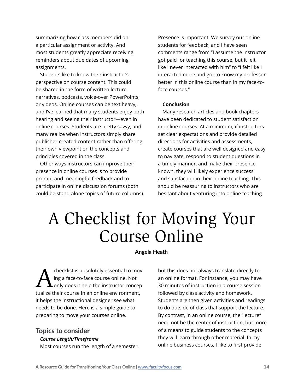<span id="page-13-0"></span>summarizing how class members did on a particular assignment or activity. And most students greatly appreciate receiving reminders about due dates of upcoming assignments.

Students like to know their instructor's perspective on course content. This could be shared in the form of written lecture narratives, podcasts, voice-over PowerPoints, or videos. Online courses can be text heavy, and I've learned that many students enjoy both hearing and seeing their instructor—even in online courses. Students are pretty savvy, and many realize when instructors simply share publisher-created content rather than offering their own viewpoint on the concepts and principles covered in the class.

Other ways instructors can improve their presence in online courses is to provide prompt and meaningful feedback and to participate in online discussion forums (both could be stand-alone topics of future columns).

Presence is important. We survey our online students for feedback, and I have seen comments range from "I assume the instructor got paid for teaching this course, but it felt like I never interacted with him" to "I felt like I interacted more and got to know my professor better in this online course than in my face-toface courses."

#### **Conclusion**

Many research articles and book chapters have been dedicated to student satisfaction in online courses. At a minimum, if instructors set clear expectations and provide detailed directions for activities and assessments, create courses that are well designed and easy to navigate, respond to student questions in a timely manner, and make their presence known, they will likely experience success and satisfaction in their online teaching. This should be reassuring to instructors who are hesitant about venturing into online teaching.

# A Checklist for Moving Your Course Online

#### **Angela Heath**

Checklist is absolutely essential to moving a face-to-face course online. Not<br>anly does it help the instructor conceping a face-to-face course online. Not only does it help the instructor conceptualize their course in an online environment, it helps the instructional designer see what needs to be done. Here is a simple guide to preparing to move your courses online.

### Topics to consider

*Course Length/Timeframe*

Most courses run the length of a semester,

but this does not always translate directly to an online format. For instance, you may have 30 minutes of instruction in a course session followed by class activity and homework. Students are then given activities and readings to do outside of class that support the lecture. By contrast, in an online course, the "lecture" need not be the center of instruction, but more of a means to guide students to the concepts they will learn through other material. In my online business courses, I like to first provide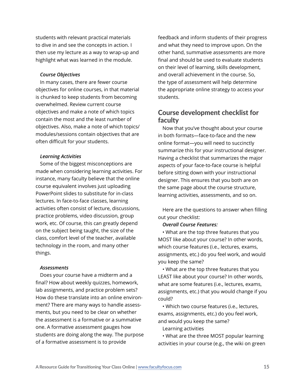students with relevant practical materials to dive in and see the concepts in action. I then use my lecture as a way to wrap-up and highlight what was learned in the module.

#### *Course Objectives*

In many cases, there are fewer course objectives for online courses, in that material is chunked to keep students from becoming overwhelmed. Review current course objectives and make a note of which topics contain the most and the least number of objectives. Also, make a note of which topics/ modules/sessions contain objectives that are often difficult for your students.

#### *Learning Activities*

Some of the biggest misconceptions are made when considering learning activities. For instance, many faculty believe that the online course equivalent involves just uploading PowerPoint slides to substitute for in-class lectures. In face-to-face classes, learning activities often consist of lecture, discussions, practice problems, video discussion, group work, etc. Of course, this can greatly depend on the subject being taught, the size of the class, comfort level of the teacher, available technology in the room, and many other things.

#### *Assessments*

Does your course have a midterm and a final? How about weekly quizzes, homework, lab assignments, and practice problem sets? How do these translate into an online environment? There are many ways to handle assessments, but you need to be clear on whether the assessment is a formative or a summative one. A formative assessment gauges how students are doing along the way. The purpose of a formative assessment is to provide

feedback and inform students of their progress and what they need to improve upon. On the other hand, summative assessments are more final and should be used to evaluate students on their level of learning, skills development, and overall achievement in the course. So, the type of assessment will help determine the appropriate online strategy to access your students.

# Course development checklist for faculty

Now that you've thought about your course in both formats—face-to-face and the new online format—you will need to succinctly summarize this for your instructional designer. Having a checklist that summarizes the major aspects of your face-to-face course is helpful before sitting down with your instructional designer. This ensures that you both are on the same page about the course structure, learning activities, assessments, and so on.

Here are the questions to answer when filling out your checklist:

#### *Overall Course Features:*

• What are the top three features that you MOST like about your course? In other words, which course features (i.e., lectures, exams, assignments, etc.) do you feel work, and would you keep the same?

• What are the top three features that you LEAST like about your course? In other words, what are some features (i.e., lectures, exams, assignments, etc.) that you would change if you could?

• Which two course features (i.e., lectures, exams, assignments, etc.) do you feel work, and would you keep the same?

Learning activities

• What are the three MOST popular learning activities in your course (e.g., the wiki on green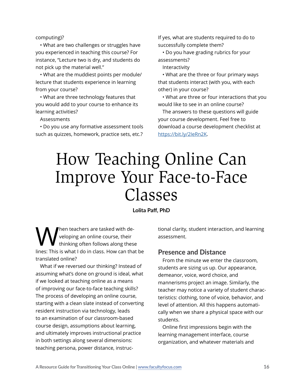<span id="page-15-0"></span>computing)?

• What are two challenges or struggles have you experienced in teaching this course? For instance, "Lecture two is dry, and students do not pick up the material well."

• What are the muddiest points per module/ lecture that students experience in learning from your course?

• What are three technology features that you would add to your course to enhance its learning activities?

Assessments

• Do you use any formative assessment tools such as quizzes, homework, practice sets, etc.?

If yes, what are students required to do to successfully complete them?

• Do you have grading rubrics for your assessments?

Interactivity

• What are the three or four primary ways that students interact (with you, with each other) in your course?

• What are three or four interactions that you would like to see in an online course?

The answers to these questions will guide your course development. Feel free to download a course development checklist at <https://bit.ly/2IeRn2K>.

# How Teaching Online Can Improve Your Face-to-Face Classes

#### **Lolita Paff, PhD**

When teachers are tasked with de-<br>veloping an online course, their<br>lines: This is what I do in glass, How see the veloping an online course, their thinking often follows along these lines: This is what I do in class. How can that be translated online?

What if we reversed our thinking? Instead of assuming what's done on ground is ideal, what if we looked at teaching online as a means of improving our face-to-face teaching skills? The process of developing an online course, starting with a clean slate instead of converting resident instruction via technology, leads to an examination of our classroom-based course design, assumptions about learning, and ultimately improves instructional practice in both settings along several dimensions: teaching persona, power distance, instructional clarity, student interaction, and learning assessment.

### Presence and Distance

From the minute we enter the classroom, students are sizing us up. Our appearance, demeanor, voice, word choice, and mannerisms project an image. Similarly, the teacher may notice a variety of student characteristics: clothing, tone of voice, behavior, and level of attention. All this happens automatically when we share a physical space with our students.

Online first impressions begin with the learning management interface, course organization, and whatever materials and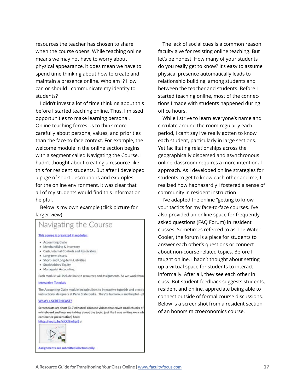resources the teacher has chosen to share when the course opens. While teaching online means we may not have to worry about physical appearance, it does mean we have to spend time thinking about how to create and maintain a presence online. Who am I? How can or should I communicate my identity to students?

I didn't invest a lot of time thinking about this before I started teaching online. Thus, I missed opportunities to make learning personal. Online teaching forces us to think more carefully about persona, values, and priorities than the face-to-face context. For example, the welcome module in the online section begins with a segment called Navigating the Course. I hadn't thought about creating a resource like this for resident students. But after I developed a page of short descriptions and examples for the online environment, it was clear that all of my students would find this information helpful.

Below is my own example (click picture for larger view):

# Navigating the Course

#### This course is organized in modules:

- · Accounting Cycle
- Merchandising & Inventory
- . Cash, Internal Controls and Receivables
- · Long-term Assets
- · Short- and Long-term Liabilities
- · Stockholders' Equity
- · Managerial Accounting

Each module will include links to resources and assignments. As we work throu

#### **Interactive Tutorials**

The Accounting Cycle module includes links to interactive tutorials and practic instructional designers at Penn State Berks. They're humorous and helpful - p

#### **What's a SCREENCAST?**

Screencasts are short (3-7 minutes) Youtube videos that cover small chunks of whiteboard and hear me talking about the topic, just like I was writing on a wh conference presentation) here:

# https://woutu.be/xKXI9wfrcr8 e

Assignments are submitted electronically.

The lack of social cues is a common reason faculty give for resisting online teaching. But let's be honest. How many of your students do you really get to know? It's easy to assume physical presence automatically leads to relationship building, among students and between the teacher and students. Before I started teaching online, most of the connections I made with students happened during office hours.

While I strive to learn everyone's name and circulate around the room regularly each period, I can't say I've really gotten to know each student, particularly in large sections. Yet facilitating relationships across the geographically dispersed and asynchronous online classroom requires a more intentional approach. As I developed online strategies for students to get to know each other and me, I realized how haphazardly I fostered a sense of community in resident instruction.

I've adapted the online "getting to know you" tactics for my face-to-face courses. I've also provided an online space for frequently asked questions (FAQ Forum) in resident classes. Sometimes referred to as The Water Cooler, the forum is a place for students to answer each other's questions or connect about non-course related topics. Before I taught online, I hadn't thought about setting up a virtual space for students to interact informally. After all, they see each other in class. But student feedback suggests students, resident and online, appreciate being able to connect outside of formal course discussions. Below is a screenshot from a resident section of an honors microeconomics course.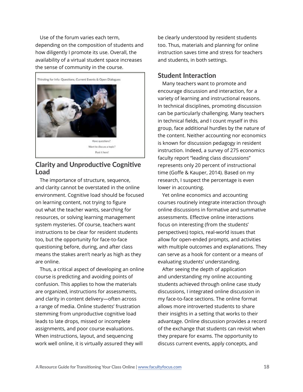Use of the forum varies each term, depending on the composition of students and how diligently I promote its use. Overall, the availability of a virtual student space increases the sense of community in the course.



# Clarity and Unproductive Cognitive Load

The importance of structure, sequence, and clarity cannot be overstated in the online environment. Cognitive load should be focused on learning content, not trying to figure out what the teacher wants, searching for resources, or solving learning management system mysteries. Of course, teachers want instructions to be clear for resident students too, but the opportunity for face-to-face questioning before, during, and after class means the stakes aren't nearly as high as they are online.

Thus, a critical aspect of developing an online course is predicting and avoiding points of confusion. This applies to how the materials are organized, instructions for assessments, and clarity in content delivery—often across a range of media. Online students' frustration stemming from unproductive cognitive load leads to late drops, missed or incomplete assignments, and poor course evaluations. When instructions, layout, and sequencing work well online, it is virtually assured they will

be clearly understood by resident students too. Thus, materials and planning for online instruction saves time and stress for teachers and students, in both settings.

# Student Interaction

Many teachers want to promote and encourage discussion and interaction, for a variety of learning and instructional reasons. In technical disciplines, promoting discussion can be particularly challenging. Many teachers in technical fields, and I count myself in this group, face additional hurdles by the nature of the content. Neither accounting nor economics is known for discussion pedagogy in resident instruction. Indeed, a survey of 275 economics faculty report "leading class discussions" represents only 20 percent of instructional time (Goffe & Kauper, 2014). Based on my research, I suspect the percentage is even lower in accounting.

Yet online economics and accounting courses routinely integrate interaction through online discussions in formative and summative assessments. Effective online interactions focus on interesting (from the students' perspectives) topics, real-world issues that allow for open-ended prompts, and activities with multiple outcomes and explanations. They can serve as a hook for content or a means of evaluating students' understanding.

After seeing the depth of application and understanding my online accounting students achieved through online case study discussions, I integrated online discussion in my face-to-face sections. The online format allows more introverted students to share their insights in a setting that works to their advantage. Online discussion provides a record of the exchange that students can revisit when they prepare for exams. The opportunity to discuss current events, apply concepts, and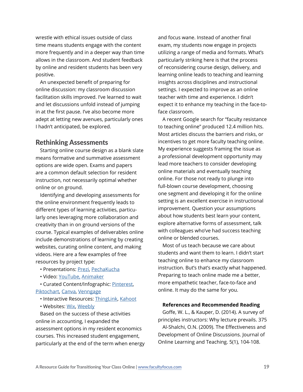wrestle with ethical issues outside of class time means students engage with the content more frequently and in a deeper way than time allows in the classroom. And student feedback by online and resident students has been very positive.

An unexpected benefit of preparing for online discussion: my classroom discussion facilitation skills improved. I've learned to wait and let discussions unfold instead of jumping in at the first pause. I've also become more adept at letting new avenues, particularly ones I hadn't anticipated, be explored.

# Rethinking Assessments

Starting online course design as a blank slate means formative and summative assessment options are wide open. Exams and papers are a common default selection for resident instruction, not necessarily optimal whether online or on ground.

Identifying and developing assessments for the online environment frequently leads to different types of learning activities, particularly ones leveraging more collaboration and creativity than in on ground versions of the course. Typical examples of deliverables online include demonstrations of learning by creating websites, curating online content, and making videos. Here are a few examples of free resources by project type:

- Presentations: [Prezi,](https://prezi.com) [PechaKucha](https://www.pechakucha.com)
- Video: [YouTube,](https://www.youtube.com) [Animaker](https://www.animaker.com)

• Curated Content/Infographic: [Pinterest](https://www.pinterest.com), [Piktochart](https://piktochart.com), [Canva](https://www.canva.com), [Venngage](https://venngage.com)

- Interactive Resources: [ThingLink](https://www.thinglink.com), [Kahoot](https://kahoot.com)
- Websites: [Wix,](https://www.wix.com) [Weebly](https://www.weebly.com)

Based on the success of these activities online in accounting, I expanded the assessment options in my resident economics courses. This increased student engagement, particularly at the end of the term when energy

and focus wane. Instead of another final exam, my students now engage in projects utilizing a range of media and formats. What's particularly striking here is that the process of reconsidering course design, delivery, and learning online leads to teaching and learning insights across disciplines and instructional settings. I expected to improve as an online teacher with time and experience. I didn't expect it to enhance my teaching in the face-toface classroom.

A recent Google search for "faculty resistance to teaching online" produced 12.4 million hits. Most articles discuss the barriers and risks, or incentives to get more faculty teaching online. My experience suggests framing the issue as a professional development opportunity may lead more teachers to consider developing online materials and eventually teaching online. For those not ready to plunge into full-blown course development, choosing one segment and developing it for the online setting is an excellent exercise in instructional improvement. Question your assumptions about how students best learn your content, explore alternative forms of assessment, talk with colleagues who've had success teaching online or blended courses.

Most of us teach because we care about students and want them to learn. I didn't start teaching online to enhance my classroom instruction. But's that's exactly what happened. Preparing to teach online made me a better, more empathetic teacher, face-to-face and online. It may do the same for you.

#### **References and Recommended Reading**

Goffe, W. L., & Kauper, D. (2014). A survey of principles instructors: Why lecture prevails. 375 Al-Shalchi, O.N. (2009). The Effectiveness and Development of Online Discussions. Journal of Online Learning and Teaching. 5(1), 104-108.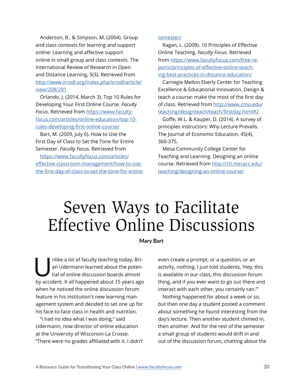<span id="page-19-0"></span>Anderson, B., & Simpson, M. (2004). Group and class contexts for learning and support online: Learning and affective support online in small group and class contexts. The International Review of Research in Open and Distance Learning, 5(3). Retrieved from [http://www.irrodl.org/index.php/irrodl/article/](http://www.irrodl.org/index.php/irrodl/article/view/208/291) [view/208/291](http://www.irrodl.org/index.php/irrodl/article/view/208/291)

Orlando, J. (2014, March 3). Top 10 Rules for Developing Your First Online Course. *Faculty Focus*. Retrieved from [https://www.faculty](https://www.facultyfocus.com/articles/online-education/top-10-rules-developing-first-online-course/)[focus.com/articles/online-education/top-10](https://www.facultyfocus.com/articles/online-education/top-10-rules-developing-first-online-course/) [rules-developing-first-online-course/](https://www.facultyfocus.com/articles/online-education/top-10-rules-developing-first-online-course/)

Bart, M. (2009, July 6). How to Use the First Day of Class to Set the Tone for Entire Semester. *Faculty Focus.* Retrieved from

[https://www.facultyfocus.com/articles/](https://www.facultyfocus.com/articles/effective-classroom-management/how-to-use-the-first-day-of-cla) [effective-classroom-management/how-to-use](https://www.facultyfocus.com/articles/effective-classroom-management/how-to-use-the-first-day-of-cla)[the-first-day-of-class-to-set-the-tone-for-entire-](https://www.facultyfocus.com/articles/effective-classroom-management/how-to-use-the-first-day-of-cla) [semester/](https://www.facultyfocus.com/articles/effective-classroom-management/how-to-use-the-first-day-of-cla)

Ragan, L. (2009). 10 Principles of Effective Online Teaching*. Faculty Focus.* Retrieved from [https://www.facultyfocus.com/free-re](https://www.facultyfocus.com/free-reports/principles-of-effective-online-teaching-best-practices-in-)[ports/principles-of-effective-online-teach](https://www.facultyfocus.com/free-reports/principles-of-effective-online-teaching-best-practices-in-)[ing-best-practices-in-distance-education/](https://www.facultyfocus.com/free-reports/principles-of-effective-online-teaching-best-practices-in-)

Carnegie Mellon Eberly Center for Teaching Excellence & Educational Innovation. Design & teach a course: make the most of the first day of class. Retrieved from [http://www.cmu.edu/](http://www.cmu.edu/teaching/designteach/teach/firstday.html#2) [teaching/designteach/teach/firstday.html#2](http://www.cmu.edu/teaching/designteach/teach/firstday.html#2)

Goffe, W.L. & Kauper, D. (2014). A survey of principles instructors: Why Lecture Prevails. The Journal of Economic Education, 45(4), 360-375.

Mesa Community College Center for Teaching and Learning. Designing an online course. Retrieved from [http://ctl.mesacc.edu/](http://ctl.mesacc.edu/teaching/designing-an-online-course/) [teaching/designing-an-online-course/](http://ctl.mesacc.edu/teaching/designing-an-online-course/)

# Seven Ways to Facilitate Effective Online Discussions

#### **Mary Bart**

nlike a lot of faculty teaching today, Brian Udermann learned about the potential of online discussion boards almost an Udermann learned about the potential of online discussion boards almost by accident. It all happened about 15 years ago when he noticed the online discussion forum feature in his institution's new learning management system and decided to set one up for his face-to-face class in health and nutrition.

"I had no idea what I was doing," said Udermann, now director of online education at the University of Wisconsin-La Crosse. "There were no grades affiliated with it. I didn't

even create a prompt, or a question, or an activity, nothing. I just told students, 'Hey, this is available in our class, this discussion forum thing, and if you ever want to go out there and interact with each other, you certainly can.'"

Nothing happened for about a week or so, but then one day a student posted a comment about something he found interesting from the day's lecture. Then another student chimed in, then another. And for the rest of the semester a small group of students would drift in and out of the discussion forum, chatting about the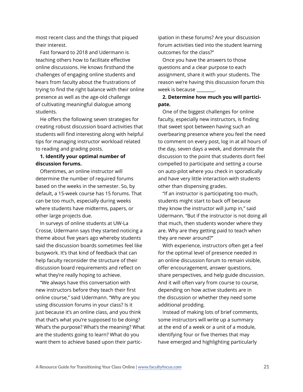most recent class and the things that piqued their interest.

Fast forward to 2018 and Udermann is teaching others how to facilitate effective online discussions. He knows firsthand the challenges of engaging online students and hears from faculty about the frustrations of trying to find the right balance with their online presence as well as the age-old challenge of cultivating meaningful dialogue among students.

He offers the following seven strategies for creating robust discussion board activities that students will find interesting along with helpful tips for managing instructor workload related to reading and grading posts.

### **1. Identify your optimal number of discussion forums.**

Oftentimes, an online instructor will determine the number of required forums based on the weeks in the semester. So, by default, a 15-week course has 15 forums. That can be too much, especially during weeks where students have midterms, papers, or other large projects due.

In surveys of online students at UW-La Crosse, Udermann says they started noticing a theme about five years ago whereby students said the discussion boards sometimes feel like busywork. It's that kind of feedback that can help faculty reconsider the structure of their discussion board requirements and reflect on what they're really hoping to achieve.

"We always have this conversation with new instructors before they teach their first online course," said Udermann. "Why are you using discussion forums in your class? Is it just because it's an online class, and you think that that's what you're supposed to be doing? What's the purpose? What's the meaning? What are the students going to learn? What do you want them to achieve based upon their partic-

ipation in these forums? Are your discussion forum activities tied into the student learning outcomes for the class?"

Once you have the answers to those questions and a clear purpose to each assignment, share it with your students. The reason we're having this discussion forum this week is because \_\_\_\_\_\_\_\_.

# **2. Determine how much you will participate.**

One of the biggest challenges for online faculty, especially new instructors, is finding that sweet spot between having such an overbearing presence where you feel the need to comment on every post, log in at all hours of the day, seven days a week, and dominate the discussion to the point that students don't feel compelled to participate and setting a course on auto-pilot where you check in sporadically and have very little interaction with students other than dispensing grades.

"If an instructor is participating too much, students might start to back off because they know the instructor will jump in," said Udermann. "But if the instructor is not doing all that much, then students wonder where they are. Why are they getting paid to teach when they are never around?"

With experience, instructors often get a feel for the optimal level of presence needed in an online discussion forum to remain visible, offer encouragement, answer questions, share perspectives, and help guide discussion. And it will often vary from course to course, depending on how active students are in the discussion or whether they need some additional prodding.

Instead of making lots of brief comments, some instructors will write up a summary at the end of a week or a unit of a module, identifying four or five themes that may have emerged and highlighting particularly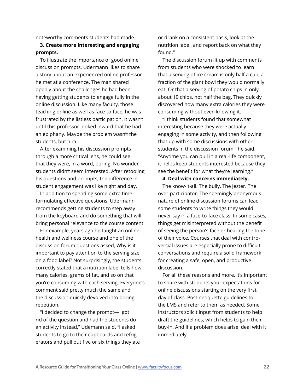noteworthy comments students had made.

# **3. Create more interesting and engaging prompts.**

To illustrate the importance of good online discussion prompts, Udermann likes to share a story about an experienced online professor he met at a conference. The man shared openly about the challenges he had been having getting students to engage fully in the online discussion. Like many faculty, those teaching online as well as face-to-face, he was frustrated by the listless participation. It wasn't until this professor looked inward that he had an epiphany. Maybe the problem wasn't the students, but him.

After examining his discussion prompts through a more critical lens, he could see that they were, in a word, boring. No wonder students didn't seem interested. After retooling his questions and prompts, the difference in student engagement was like night and day.

In addition to spending some extra time formulating effective questions, Udermann recommends getting students to step away from the keyboard and do something that will bring personal relevance to the course content.

For example, years ago he taught an online health and wellness course and one of the discussion forum questions asked, Why is it important to pay attention to the serving size on a food label? Not surprisingly, the students correctly stated that a nutrition label tells how many calories, grams of fat, and so on that you're consuming with each serving. Everyone's comment said pretty much the same and the discussion quickly devolved into boring repetition.

"I decided to change the prompt—I got rid of the question and had the students do an activity instead," Udemann said. "I asked students to go to their cupboards and refrigerators and pull out five or six things they ate

or drank on a consistent basis, look at the nutrition label, and report back on what they found."

The discussion forum lit up with comments from students who were shocked to learn that a serving of ice cream is only half a cup, a fraction of the giant bowl they would normally eat. Or that a serving of potato chips in only about 10 chips, not half the bag. They quickly discovered how many extra calories they were consuming without even knowing it.

"I think students found that somewhat interesting because they were actually engaging in some activity, and then following that up with some discussions with other students in the discussion forum," he said. "Anytime you can pull in a real-life component, it helps keep students interested because they see the benefit for what they're learning."

#### **4. Deal with concerns immediately.**

The know-it-all. The bully. The jester. The over-participator. The seemingly anonymous nature of online discussion forums can lead some students to write things they would never say in a face-to-face class. In some cases, things get misinterpreted without the benefit of seeing the person's face or hearing the tone of their voice. Courses that deal with controversial issues are especially prone to difficult conversations and require a solid framework for creating a safe, open, and productive discussion.

For all these reasons and more, it's important to share with students your expectations for online discussions starting on the very first day of class. Post netiquette guidelines to the LMS and refer to them as needed. Some instructors solicit input from students to help draft the guidelines, which helps to gain their buy-in. And if a problem does arise, deal with it immediately.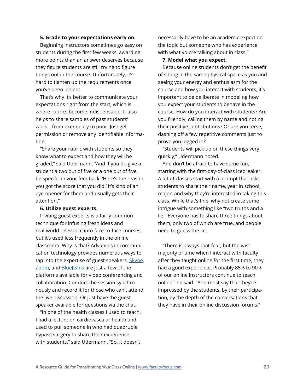#### **5. Grade to your expectations early on.**

Beginning instructors sometimes go easy on students during the first few weeks, awarding more points than an answer deserves because they figure students are still trying to figure things out in the course. Unfortunately, it's hard to tighten up the requirements once you've been lenient.

That's why it's better to communicate your expectations right from the start, which is where rubrics become indispensable. It also helps to share samples of past students' work—from exemplary to poor. Just get permission or remove any identifiable information.

"Share your rubric with students so they know what to expect and how they will be graded," said Udermann. "And if you do give a student a two out of five or a one out of five, be specific in your feedback. 'Here's the reason you got the score that you did.' It's kind of an eye-opener for them and usually gets their attention."

#### **6. Utilize guest experts.**

Inviting guest experts is a fairly common technique for infusing fresh ideas and real-world relevance into face-to-face courses, but it's used less frequently in the online classroom. Why is that? Advances in communication technology provides numerous ways to tap into the expertise of guest speakers. [Skype,](https://www.skype.com/en/) [Zoom](https://zoom.us/home?zcid=2478), and [BlueJeans](https://www.bluejeans.com) are just a few of the platforms available for video conferencing and collaboration. Conduct the session synchronously and record it for those who can't attend the live discussion. Or just have the guest speaker available for questions via the chat.

"In one of the health classes I used to teach, I had a lecture on cardiovascular health and used to pull someone in who had quadruple bypass surgery to share their experience with students," said Udermann. "So, it doesn't necessarily have to be an academic expert on the topic but someone who has experience with what you're talking about in class."

#### **7. Model what you expect.**

Because online students don't get the benefit of sitting in the same physical space as you and seeing your energy and enthusiasm for the course and how you interact with students, it's important to be deliberate in modeling how you expect your students to behave in the course. How do you interact with students? Are you friendly, calling them by name and noting their positive contributions? Or are you terse, dashing off a few repetitive comments just to prove you logged in?

"Students will pick up on these things very quickly," Udermann noted.

And don't be afraid to have some fun, starting with the first-day-of-class icebreaker. A lot of classes start with a prompt that asks students to share their name, year in school, major, and why they're interested in taking this class. While that's fine, why not create some intrigue with something like "two truths and a lie." Everyone has to share three things about them, only two of which are true, and people need to guess the lie.

"There is always that fear, but the vast majority of time when I interact with faculty after they taught online for the first time, they had a good experience. Probably 85% to 90% of our online instructors continue to teach online," he said. "And most say that they're impressed by the students, by their participation, by the depth of the conversations that they have in their online discussion forums."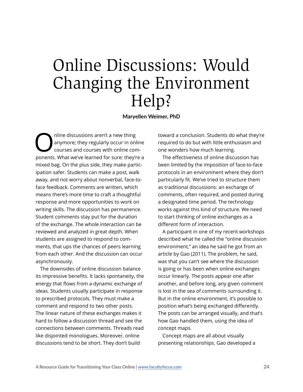# <span id="page-23-0"></span>Online Discussions: Would Changing the Environment Help?

**Maryellen Weimer, PhD**

Online discussions aren't a new thing<br>courses and courses with online connects What we be accepted for sure that the<br>connect What we be accepted for sure that the finite anymore; they regularly occur in online courses and courses with online components. What we've learned for sure: they're a mixed bag. On the plus side, they make participation safer. Students can make a post, walk away, and not worry about nonverbal, face-toface feedback. Comments are written, which means there's more time to craft a thoughtful response and more opportunities to work on writing skills. The discussion has permanence. Student comments stay put for the duration of the exchange. The whole interaction can be reviewed and analyzed in great depth. When students are assigned to respond to comments, that ups the chances of peers learning from each other. And the discussion can occur asynchronously.

The downsides of online discussion balance its impressive benefits. It lacks spontaneity, the energy that flows from a dynamic exchange of ideas. Students usually participate in response to prescribed protocols. They must make a comment and respond to two other posts. The linear nature of these exchanges makes it hard to follow a discussion thread and see the connections between comments. Threads read like disjointed monologues. Moreover, online discussions tend to be short. They don't build

toward a conclusion. Students do what they're required to do but with little enthusiasm and one wonders how much learning.

The effectiveness of online discussion has been limited by the imposition of face-to-face protocols in an environment where they don't particularly fit. We've tried to structure them as traditional discussions: an exchange of comments, often required, and posted during a designated time period. The technology works against this kind of structure. We need to start thinking of online exchanges as a different form of interaction.

A participant in one of my recent workshops described what he called the "online discussion environment," an idea he said he got from an article by Gao (2011). The problem, he said, was that you can't see where the discussion is going or has been when online exchanges occur linearly. The posts appear one after another, and before long, any given comment is lost in the sea of comments surrounding it. But in the online environment, it's possible to position what's being exchanged differently. The posts can be arranged visually, and that's how Gao handled them, using the idea of concept maps.

Concept maps are all about visually presenting relationships. Gao developed a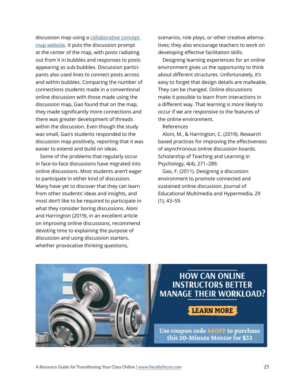discussion map using a [collaborative concept](https://www.mindomo.com)  [map website.](https://www.mindomo.com) It puts the discussion prompt at the center of the map, with posts radiating out from it in bubbles and responses to posts appearing as sub-bubbles. Discussion participants also used lines to connect posts across and within bubbles. Comparing the number of connections students made in a conventional online discussion with those made using the discussion map, Gao found that on the map, they made significantly more connections and there was greater development of threads within the discussion. Even though the study was small, Gao's students responded to the discussion map positively, reporting that it was easier to extend and build on ideas.

Some of the problems that regularly occur in face-to-face discussions have migrated into online discussions. Most students aren't eager to participate in either kind of discussion. Many have yet to discover that they can learn from other students' ideas and insights, and most don't like to be required to participate in what they consider boring discussions. Aloni and Harrington (2019), in an excellent article on improving online discussions, recommend devoting time to explaining the purpose of discussion and using discussion starters, whether provocative thinking questions,

scenarios, role plays, or other creative alternatives; they also encourage teachers to work on developing effective facilitation skills.

Designing learning experiences for an online environment gives us the opportunity to think about different structures. Unfortunately, it's easy to forget that design details are malleable. They can be changed. Online discussions make it possible to learn from interactions in a different way. That learning is more likely to occur if we are responsive to the features of the online environment.

#### References

Aloni, M., & Harrington, C. (2019). Research based practices for improving the effectiveness of asynchronous online discussion boards. Scholarship of Teaching and Learning in Psychology, 4(4), 271–289.

Gao, F. (2011). Designing a discussion environment to promote connected and sustained online discussion. Journal of Educational Multimedia and Hypermedia, 29 (1), 43–59.



# **HOW CAN ONLINE INSTRUCTORS BETTER MANAGE THEIR WORKLOAD?**

# **LEARN MORE**

Use coupon code 660FF to purchase this 20-Minute Mentor for \$33